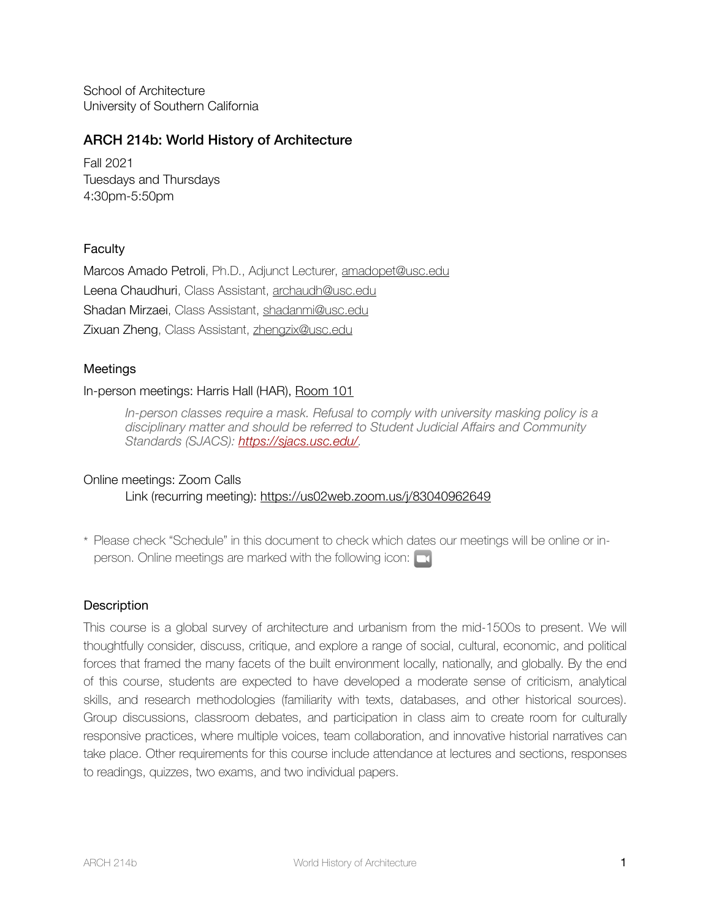School of Architecture University of Southern California

# ARCH 214b: World History of Architecture

Fall 2021 Tuesdays and Thursdays 4:30pm-5:50pm

## **Faculty**

Marcos Amado Petroli, Ph.D., Adjunct Lecturer, [amadopet@usc.edu](mailto:amadopet@usc.edu)  Leena Chaudhuri, Class Assistant, [archaudh@usc.edu](mailto:archaudh@usc.edu)  Shadan Mirzaei, Class Assistant, [shadanmi@usc.edu](mailto:shadanmi@usc.edu) Zixuan Zheng, Class Assistant, [zhengzix@usc.edu](mailto:zhengzix@usc.edu) 

## Meetings

### In-person meetings: Harris Hall (HAR), [Room 101](https://maps.usc.edu/?id=1928&reference=HAR#!m/552503?s/?ct/53723,53722,55414,55415,55418)

*In-person classes require a mask. Refusal to comply with university masking policy is a disciplinary matter and should be referred to Student Judicial Affairs and Community Standards (SJACS): [https://sjacs.usc.edu/.](https://sjacs.usc.edu/)*

### Online meetings: Zoom Calls

Link (recurring meeting):<https://us02web.zoom.us/j/83040962649>

\* Please check "Schedule" in this document to check which dates our meetings will be online or inperson. Online meetings are marked with the following icon:  $\Box$ 

## **Description**

This course is a global survey of architecture and urbanism from the mid-1500s to present. We will thoughtfully consider, discuss, critique, and explore a range of social, cultural, economic, and political forces that framed the many facets of the built environment locally, nationally, and globally. By the end of this course, students are expected to have developed a moderate sense of criticism, analytical skills, and research methodologies (familiarity with texts, databases, and other historical sources). Group discussions, classroom debates, and participation in class aim to create room for culturally responsive practices, where multiple voices, team collaboration, and innovative historial narratives can take place. Other requirements for this course include attendance at lectures and sections, responses to readings, quizzes, two exams, and two individual papers.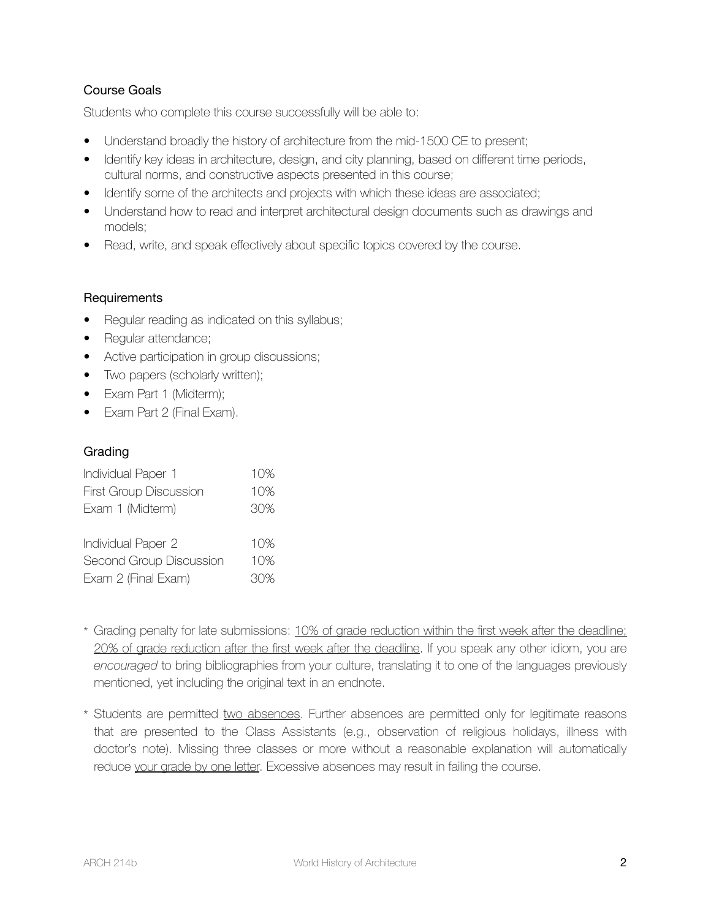# Course Goals

Students who complete this course successfully will be able to:

- Understand broadly the history of architecture from the mid-1500 CE to present;
- Identify key ideas in architecture, design, and city planning, based on different time periods, cultural norms, and constructive aspects presented in this course;
- Identify some of the architects and projects with which these ideas are associated;
- Understand how to read and interpret architectural design documents such as drawings and models;
- Read, write, and speak effectively about specific topics covered by the course.

## **Requirements**

- Regular reading as indicated on this syllabus;
- Regular attendance;
- Active participation in group discussions;
- Two papers (scholarly written);
- Exam Part 1 (Midterm);
- Exam Part 2 (Final Exam).

## Grading

| Individual Paper 1            | 10% |
|-------------------------------|-----|
| <b>First Group Discussion</b> | 10% |
| Exam 1 (Midterm)              | 30% |
|                               |     |
| Individual Paper 2            | 10% |
| Second Group Discussion       | 10% |
| Exam 2 (Final Exam)           | 30% |

- \* Grading penalty for late submissions: 10% of grade reduction within the first week after the deadline; 20% of grade reduction after the first week after the deadline. If you speak any other idiom, you are *encouraged* to bring bibliographies from your culture, translating it to one of the languages previously mentioned, yet including the original text in an endnote.
- \* Students are permitted two absences. Further absences are permitted only for legitimate reasons that are presented to the Class Assistants (e.g., observation of religious holidays, illness with doctor's note). Missing three classes or more without a reasonable explanation will automatically reduce your grade by one letter. Excessive absences may result in failing the course.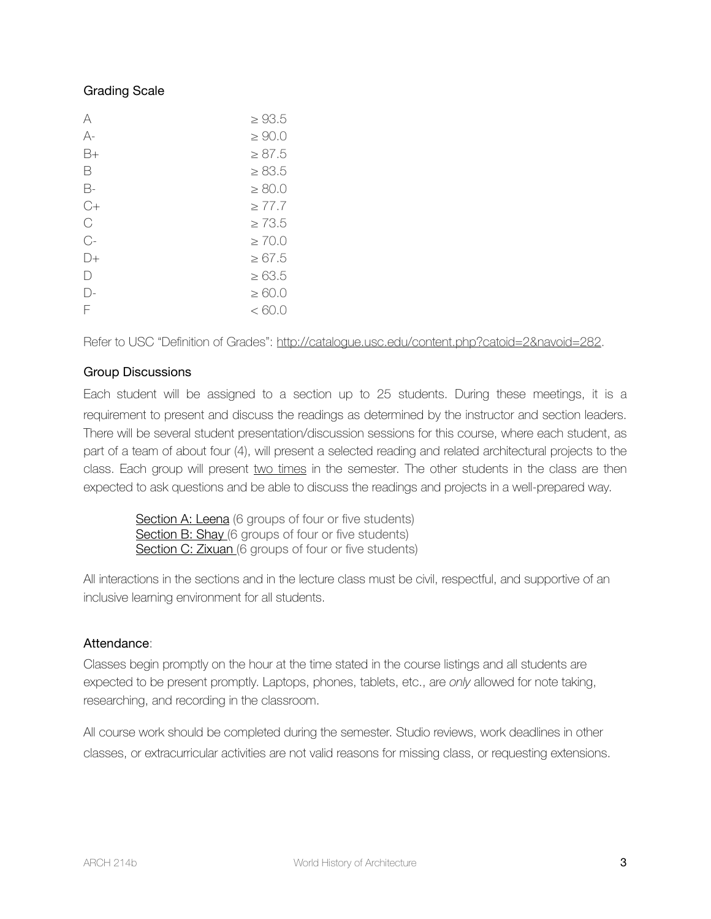## Grading Scale

| A          | $\geq 93.5$ |
|------------|-------------|
| А-         | $\geq 90.0$ |
| B+         | $\geq 87.5$ |
| B          | $\geq 83.5$ |
| B-         | $\geq 80.0$ |
| C+         | $\geq 77.7$ |
| С          | $\geq 73.5$ |
| $C-$       | $\geq 70.0$ |
| $  )_{+}$  | $\geq 67.5$ |
| $\vert$ )  | $\geq 63.5$ |
| $\vert$ )- | $\geq 60.0$ |
| F          | < 60.0      |

Refer to USC "Definition of Grades": [http://catalogue.usc.edu/content.php?catoid=2&navoid=282.](http://catalogue.usc.edu/content.php?catoid=2&navoid=282)

## Group Discussions

Each student will be assigned to a section up to 25 students. During these meetings, it is a requirement to present and discuss the readings as determined by the instructor and section leaders. There will be several student presentation/discussion sessions for this course, where each student, as part of a team of about four (4), will present a selected reading and related architectural projects to the class. Each group will present two times in the semester. The other students in the class are then expected to ask questions and be able to discuss the readings and projects in a well-prepared way.

Section A: Leena (6 groups of four or five students) Section B: Shay (6 groups of four or five students) Section C: Zixuan (6 groups of four or five students)

All interactions in the sections and in the lecture class must be civil, respectful, and supportive of an inclusive learning environment for all students.

## Attendance:

Classes begin promptly on the hour at the time stated in the course listings and all students are expected to be present promptly. Laptops, phones, tablets, etc., are *only* allowed for note taking, researching, and recording in the classroom.

All course work should be completed during the semester. Studio reviews, work deadlines in other classes, or extracurricular activities are not valid reasons for missing class, or requesting extensions.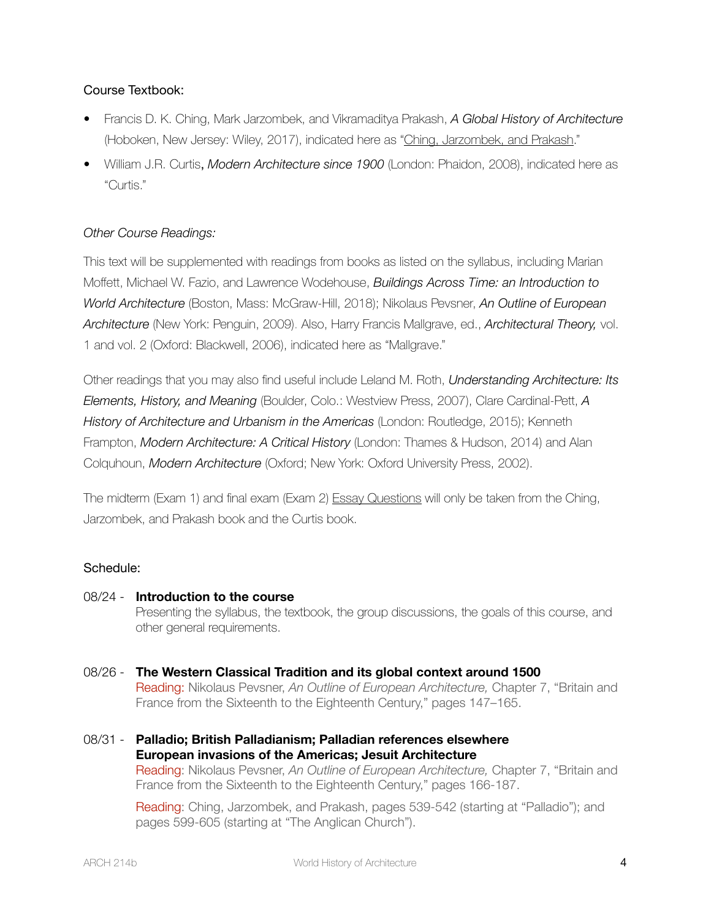# Course Textbook:

- Francis D. K. Ching, Mark Jarzombek, and Vikramaditya Prakash, *A Global History of Architecture*  (Hoboken, New Jersey: Wiley, 2017), indicated here as "Ching, Jarzombek, and Prakash."
- William J.R. Curtis, *Modern Architecture since 1900* (London: Phaidon, 2008), indicated here as "Curtis."

## *Other Course Readings:*

This text will be supplemented with readings from books as listed on the syllabus, including Marian Moffett, Michael W. Fazio, and Lawrence Wodehouse, *Buildings Across Time: an Introduction to World Architecture* (Boston, Mass: McGraw-Hill, 2018); Nikolaus Pevsner, *An Outline of European Architecture* (New York: Penguin, 2009). Also, Harry Francis Mallgrave, ed., *Architectural Theory,* vol. 1 and vol. 2 (Oxford: Blackwell, 2006), indicated here as "Mallgrave."

Other readings that you may also find useful include Leland M. Roth, *Understanding Architecture: Its Elements, History, and Meaning* (Boulder, Colo.: Westview Press, 2007), Clare Cardinal-Pett, *A History of Architecture and Urbanism in the Americas* (London: Routledge, 2015); Kenneth Frampton, *Modern Architecture: A Critical History* (London: Thames & Hudson, 2014) and Alan Colquhoun, *Modern Architecture* (Oxford; New York: Oxford University Press, 2002).

The midterm (Exam 1) and final exam (Exam 2) Essay Questions will only be taken from the Ching, Jarzombek, and Prakash book and the Curtis book.

## Schedule:

### 08/24 - **Introduction to the course**

Presenting the syllabus, the textbook, the group discussions, the goals of this course, and other general requirements.

- 08/26 **The Western Classical Tradition and its global context around 1500** Reading: Nikolaus Pevsner, *An Outline of European Architecture,* Chapter 7, "Britain and France from the Sixteenth to the Eighteenth Century," pages 147–165.
- 08/31 **Palladio; British Palladianism; Palladian references elsewhere European invasions of the Americas; Jesuit Architecture** Reading: Nikolaus Pevsner, *An Outline of European Architecture,* Chapter 7, "Britain and France from the Sixteenth to the Eighteenth Century," pages 166-187.

Reading: Ching, Jarzombek, and Prakash, pages 539-542 (starting at "Palladio"); and pages 599-605 (starting at "The Anglican Church").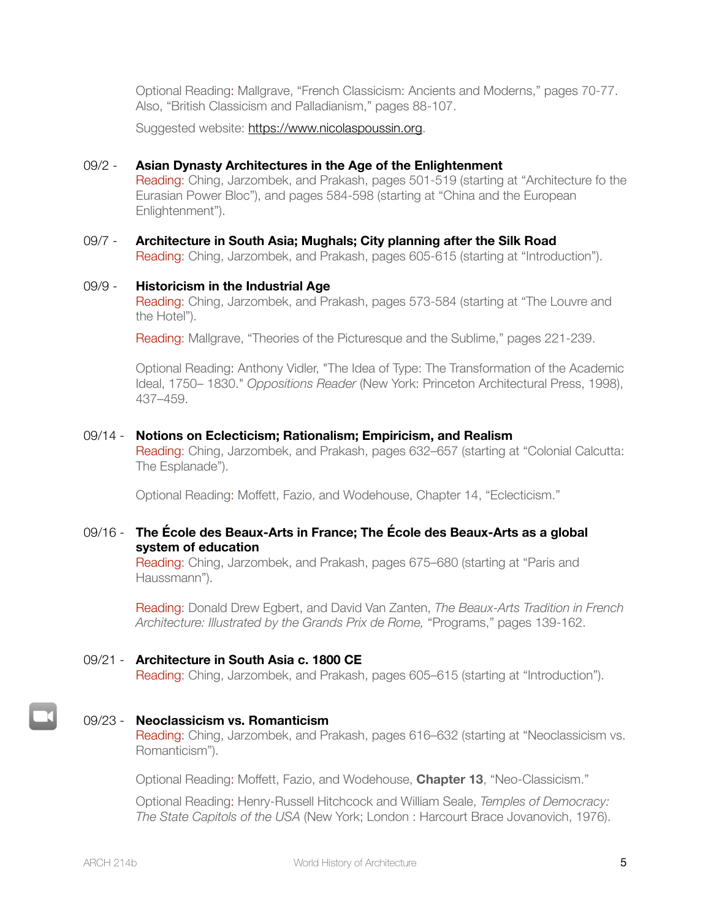Optional Reading: Mallgrave, "French Classicism: Ancients and Moderns," pages 70-77. Also, "British Classicism and Palladianism," pages 88-107.

Suggested website: [https://www.nicolaspoussin.org.](https://www.nicolaspoussin.org)

### 09/2 - **Asian Dynasty Architectures in the Age of the Enlightenment**

Reading: Ching, Jarzombek, and Prakash, pages 501-519 (starting at "Architecture fo the Eurasian Power Bloc"), and pages 584-598 (starting at "China and the European Enlightenment").

# 09/7 - **Architecture in South Asia; Mughals; City planning after the Silk Road** Reading: Ching, Jarzombek, and Prakash, pages 605-615 (starting at "Introduction").

### 09/9 - **Historicism in the Industrial Age**

Reading: Ching, Jarzombek, and Prakash, pages 573-584 (starting at "The Louvre and the Hotel").

Reading: Mallgrave, "Theories of the Picturesque and the Sublime," pages 221-239.

Optional Reading: Anthony Vidler, "The Idea of Type: The Transformation of the Academic Ideal, 1750– 1830." *Oppositions Reader* (New York: Princeton Architectural Press, 1998), 437–459.

### 09/14 - **Notions on Eclecticism; Rationalism; Empiricism, and Realism**

Reading: Ching, Jarzombek, and Prakash, pages 632–657 (starting at "Colonial Calcutta: The Esplanade").

Optional Reading: Moffett, Fazio, and Wodehouse, Chapter 14, "Eclecticism."

### 09/16 - **The École des Beaux-Arts in France; The École des Beaux-Arts as a global system of education**

Reading: Ching, Jarzombek, and Prakash, pages 675–680 (starting at "Paris and Haussmann").

Reading: Donald Drew Egbert, and David Van Zanten, *The Beaux-Arts Tradition in French Architecture: Illustrated by the Grands Prix de Rome,* "Programs," pages 139-162.

### 09/21 - **Architecture in South Asia c. 1800 CE**

Reading: Ching, Jarzombek, and Prakash, pages 605–615 (starting at "Introduction").

### 09/23 - **Neoclassicism vs. Romanticism**

Reading: Ching, Jarzombek, and Prakash, pages 616–632 (starting at "Neoclassicism vs. Romanticism").

Optional Reading: Moffett, Fazio, and Wodehouse, **Chapter 13**, "Neo-Classicism."

Optional Reading: Henry-Russell Hitchcock and William Seale, *Temples of Democracy: The State Capitols of the USA* (New York; London : Harcourt Brace Jovanovich, 1976).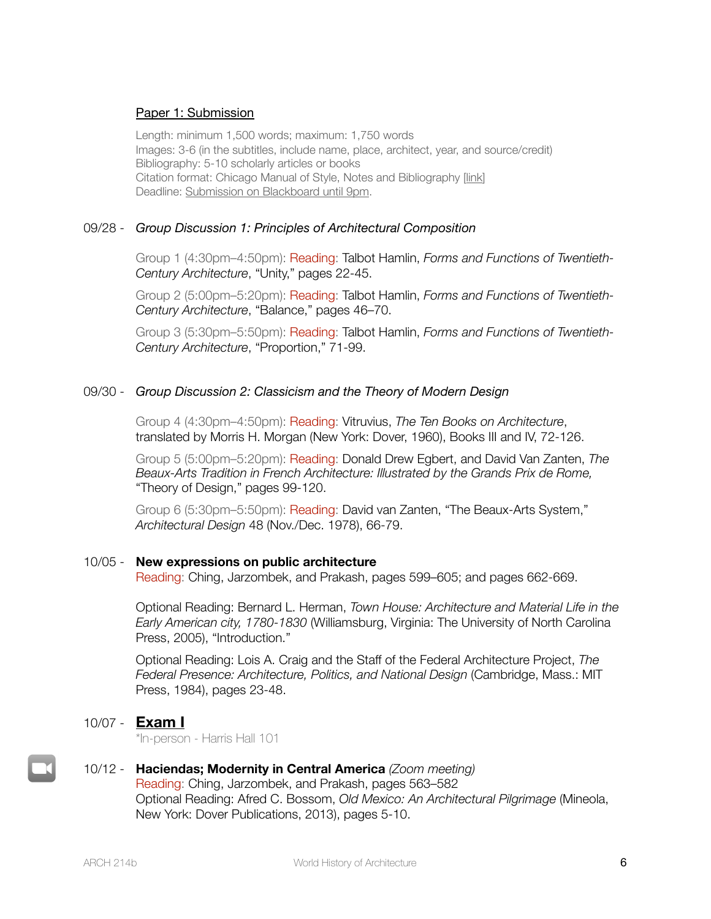### Paper 1: Submission

Length: minimum 1,500 words; maximum: 1,750 words Images: 3-6 (in the subtitles, include name, place, architect, year, and source/credit) Bibliography: 5-10 scholarly articles or books Citation format: Chicago Manual of Style, Notes and Bibliography [[link\]](https://www.chicagomanualofstyle.org/tools_citationguide/citation-guide-1.html) Deadline: Submission on Blackboard until 9pm.

### 09/28 - *Group Discussion 1: Principles of Architectural Composition*

Group 1 (4:30pm–4:50pm): Reading: Talbot Hamlin, *Forms and Functions of Twentieth-Century Architecture*, "Unity," pages 22-45.

Group 2 (5:00pm–5:20pm): Reading: Talbot Hamlin, *Forms and Functions of Twentieth-Century Architecture*, "Balance," pages 46–70.

Group 3 (5:30pm–5:50pm): Reading: Talbot Hamlin, *Forms and Functions of Twentieth-Century Architecture*, "Proportion," 71-99.

### 09/30 - *Group Discussion 2: Classicism and the Theory of Modern Design*

Group 4 (4:30pm–4:50pm): Reading: Vitruvius, *The Ten Books on Architecture*, translated by Morris H. Morgan (New York: Dover, 1960), Books III and IV, 72‐126.

Group 5 (5:00pm–5:20pm): Reading: Donald Drew Egbert, and David Van Zanten, *The Beaux-Arts Tradition in French Architecture: Illustrated by the Grands Prix de Rome,*  "Theory of Design," pages 99-120.

Group 6 (5:30pm–5:50pm): Reading: David van Zanten, "The Beaux-Arts System," *Architectural Design* 48 (Nov./Dec. 1978), 66-79.

### 10/05 - **New expressions on public architecture**

Reading: Ching, Jarzombek, and Prakash, pages 599–605; and pages 662-669.

Optional Reading: Bernard L. Herman, *Town House: Architecture and Material Life in the Early American city, 1780-1830* (Williamsburg, Virginia: The University of North Carolina Press, 2005), "Introduction."

Optional Reading: Lois A. Craig and the Staff of the Federal Architecture Project, *The Federal Presence: Architecture, Politics, and National Design* (Cambridge, Mass.: MIT Press, 1984), pages 23-48.

## 10/07 - **Exam I**

\*In-person - Harris Hall 101

### 10/12 - **Haciendas; Modernity in Central America** *(Zoom meeting)* Reading: Ching, Jarzombek, and Prakash, pages 563–582 Optional Reading: Afred C. Bossom, *Old Mexico: An Architectural Pilgrimage* (Mineola, New York: Dover Publications, 2013), pages 5-10.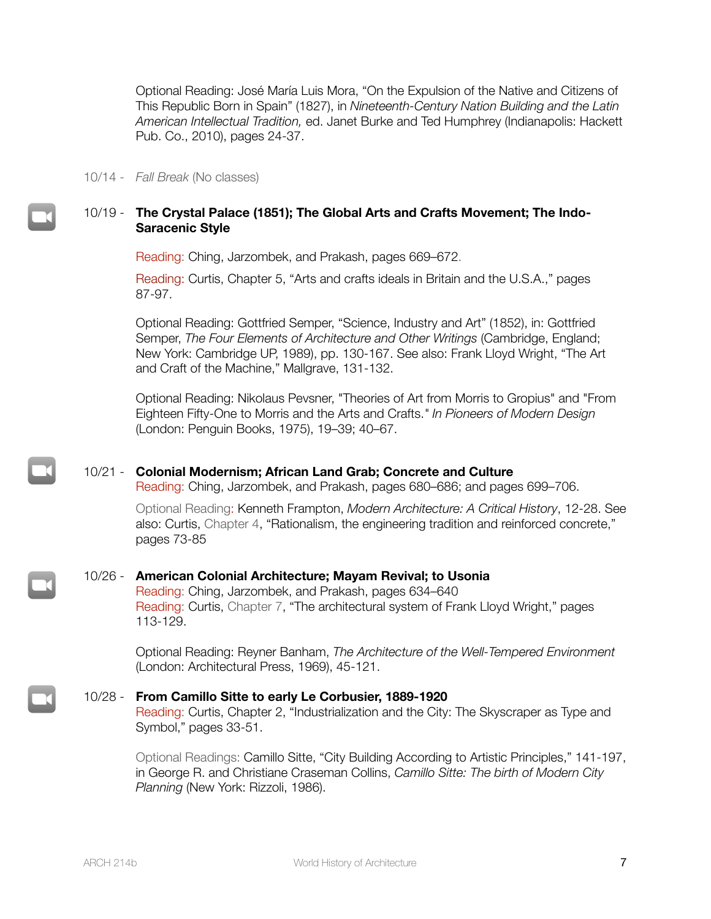Optional Reading: José María Luis Mora, "On the Expulsion of the Native and Citizens of This Republic Born in Spain" (1827), in *Nineteenth-Century Nation Building and the Latin American Intellectual Tradition,* ed. Janet Burke and Ted Humphrey (Indianapolis: Hackett Pub. Co., 2010), pages 24-37.

10/14 - *Fall Break* (No classes)

### 10/19 - **The Crystal Palace (1851); The Global Arts and Crafts Movement; The Indo-Saracenic Style**

Reading: Ching, Jarzombek, and Prakash, pages 669–672.

Reading: Curtis, Chapter 5, "Arts and crafts ideals in Britain and the U.S.A.," pages 87-97.

Optional Reading: Gottfried Semper, "Science, Industry and Art" (1852), in: Gottfried Semper, *The Four Elements of Architecture and Other Writings* (Cambridge, England; New York: Cambridge UP, 1989), pp. 130-167. See also: Frank Lloyd Wright, "The Art and Craft of the Machine," Mallgrave, 131-132.

Optional Reading: Nikolaus Pevsner, "Theories of Art from Morris to Gropius" and "From Eighteen Fifty-One to Morris and the Arts and Crafts.*" In Pioneers of Modern Design* (London: Penguin Books, 1975), 19–39; 40–67.

### 10/21 - **Colonial Modernism; African Land Grab; Concrete and Culture**

Reading: Ching, Jarzombek, and Prakash, pages 680–686; and pages 699–706.

Optional Reading: Kenneth Frampton, *Modern Architecture: A Critical History*, 12-28. See also: Curtis, Chapter 4, "Rationalism, the engineering tradition and reinforced concrete," pages 73-85

### 10/26 - **American Colonial Architecture; Mayam Revival; to Usonia**

Reading: Ching, Jarzombek, and Prakash, pages 634–640 Reading: Curtis, Chapter 7, "The architectural system of Frank Lloyd Wright," pages 113-129.

Optional Reading: Reyner Banham, *The Architecture of the Well-Tempered Environment* (London: Architectural Press, 1969), 45-121.

#### 10/28 - **From Camillo Sitte to early Le Corbusier, 1889-1920**

Reading: Curtis, Chapter 2, "Industrialization and the City: The Skyscraper as Type and Symbol," pages 33-51.

Optional Readings: Camillo Sitte, "City Building According to Artistic Principles," 141-197, in George R. and Christiane Craseman Collins, *Camillo Sitte: The birth of Modern City Planning* (New York: Rizzoli, 1986).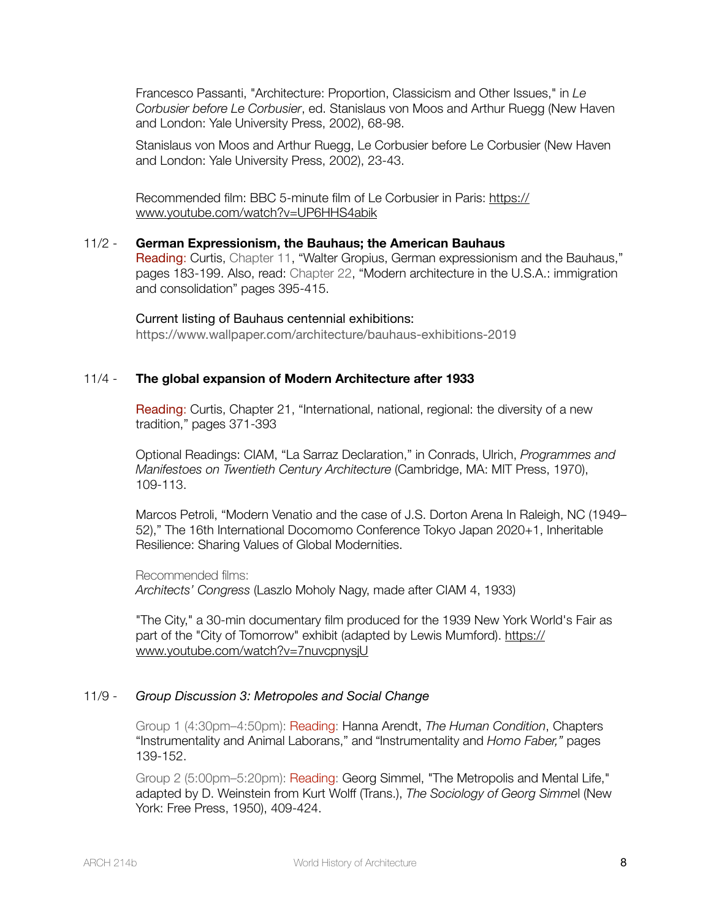Francesco Passanti, "Architecture: Proportion, Classicism and Other Issues," in *Le Corbusier before Le Corbusier*, ed. Stanislaus von Moos and Arthur Ruegg (New Haven and London: Yale University Press, 2002), 68-98.

Stanislaus von Moos and Arthur Ruegg, Le Corbusier before Le Corbusier (New Haven and London: Yale University Press, 2002), 23-43.

Recommended film: BBC 5-minute film of Le Corbusier in Paris: [https://](https://www.youtube.com/watch?v=UP6HHS4abik) [www.youtube.com/watch?v=UP6HHS4abik](https://www.youtube.com/watch?v=UP6HHS4abik)

#### 11/2 - **German Expressionism, the Bauhaus; the American Bauhaus**

Reading: Curtis, Chapter 11, "Walter Gropius, German expressionism and the Bauhaus," pages 183-199. Also, read: Chapter 22, "Modern architecture in the U.S.A.: immigration and consolidation" pages 395-415.

Current listing of Bauhaus centennial exhibitions: https://www.wallpaper.com/architecture/bauhaus-exhibitions-2019

#### 11/4 - **The global expansion of Modern Architecture after 1933**

Reading: Curtis, Chapter 21, "International, national, regional: the diversity of a new tradition," pages 371-393

Optional Readings: CIAM, "La Sarraz Declaration," in Conrads, Ulrich, *Programmes and Manifestoes on Twentieth Century Architecture* (Cambridge, MA: MIT Press, 1970), 109-113.

Marcos Petroli, "Modern Venatio and the case of J.S. Dorton Arena In Raleigh, NC (1949– 52)," The 16th International Docomomo Conference Tokyo Japan 2020+1, Inheritable Resilience: Sharing Values of Global Modernities.

Recommended films:

*Architects' Congress* (Laszlo Moholy Nagy, made after CIAM 4, 1933)

"The City," a 30-min documentary film produced for the 1939 New York World's Fair as part of the "City of Tomorrow" exhibit (adapted by Lewis Mumford). [https://](https://www.youtube.com/watch?v=7nuvcpnysjU) [www.youtube.com/watch?v=7nuvcpnysjU](https://www.youtube.com/watch?v=7nuvcpnysjU)

### 11/9 - *Group Discussion 3: Metropoles and Social Change*

Group 1 (4:30pm–4:50pm): Reading: Hanna Arendt, *The Human Condition*, Chapters "Instrumentality and Animal Laborans," and "Instrumentality and *Homo Faber,"* pages 139-152.

Group 2 (5:00pm–5:20pm): Reading: Georg Simmel, "The Metropolis and Mental Life," adapted by D. Weinstein from Kurt Wolff (Trans.), *The Sociology of Georg Simme*l (New York: Free Press, 1950), 409-424.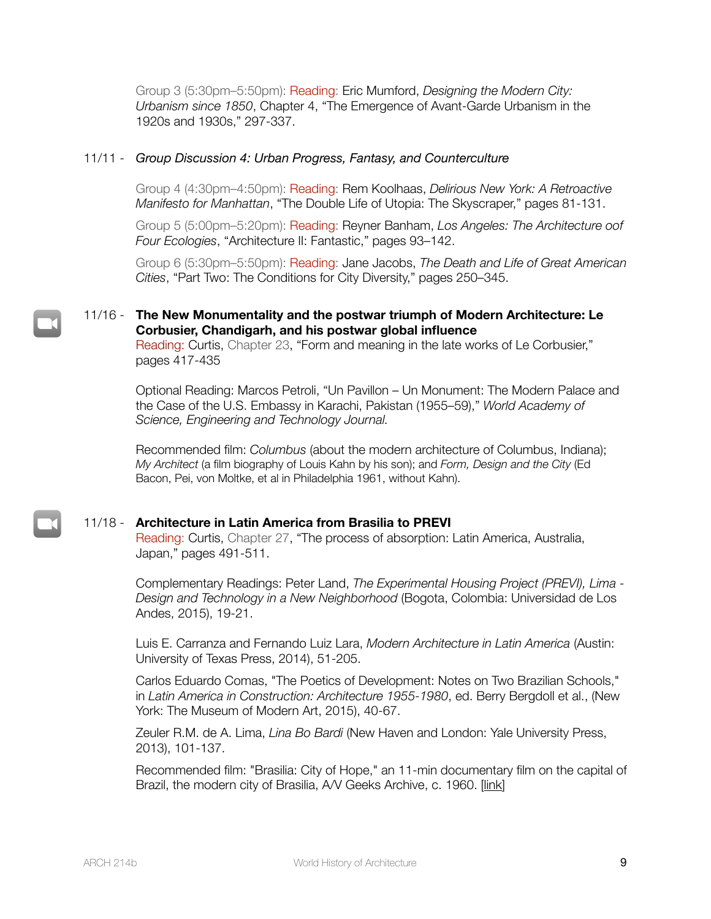Group 3 (5:30pm–5:50pm): Reading: Eric Mumford, *Designing the Modern City: Urbanism since 1850*, Chapter 4, "The Emergence of Avant-Garde Urbanism in the 1920s and 1930s," 297-337.

### 11/11 - *Group Discussion 4: Urban Progress, Fantasy, and Counterculture*

Group 4 (4:30pm–4:50pm): Reading: Rem Koolhaas, *Delirious New York: A Retroactive Manifesto for Manhattan*, "The Double Life of Utopia: The Skyscraper," pages 81-131.

Group 5 (5:00pm–5:20pm): Reading: Reyner Banham, *Los Angeles: The Architecture oof Four Ecologies*, "Architecture II: Fantastic," pages 93–142.

Group 6 (5:30pm–5:50pm): Reading: Jane Jacobs, *The Death and Life of Great American Cities*, "Part Two: The Conditions for City Diversity," pages 250–345.

### 11/16 - **The New Monumentality and the postwar triumph of Modern Architecture: Le Corbusier, Chandigarh, and his postwar global influence**

Reading: Curtis, Chapter 23, "Form and meaning in the late works of Le Corbusier," pages 417-435

Optional Reading: Marcos Petroli, "Un Pavillon – Un Monument: The Modern Palace and the Case of the U.S. Embassy in Karachi, Pakistan (1955–59)," *World Academy of Science, Engineering and Technology Journal.*

Recommended film: *Columbus* (about the modern architecture of Columbus, Indiana); *My Architect* (a film biography of Louis Kahn by his son); and *Form, Design and the City* (Ed Bacon, Pei, von Moltke, et al in Philadelphia 1961, without Kahn).

### 11/18 - **Architecture in Latin America from Brasilia to PREVI**

Reading: Curtis, Chapter 27, "The process of absorption: Latin America, Australia, Japan," pages 491-511.

Complementary Readings: Peter Land, *The Experimental Housing Project (PREVI), Lima - Design and Technology in a New Neighborhood* (Bogota, Colombia: Universidad de Los Andes, 2015), 19-21.

Luis E. Carranza and Fernando Luiz Lara, *Modern Architecture in Latin America* (Austin: University of Texas Press, 2014), 51-205.

Carlos Eduardo Comas, "The Poetics of Development: Notes on Two Brazilian Schools," in *Latin America in Construction: Architecture 1955-1980*, ed. Berry Bergdoll et al., (New York: The Museum of Modern Art, 2015), 40-67.

Zeuler R.M. de A. Lima, *Lina Bo Bardi* (New Haven and London: Yale University Press, 2013), 101-137.

Recommended film: "Brasilia: City of Hope," an 11-min documentary film on the capital of Brazil, the modern city of Brasilia, A/V Geeks Archive, c. 1960. [[link](https://www.youtube.com/watch?v=By6qi_V4lGE)]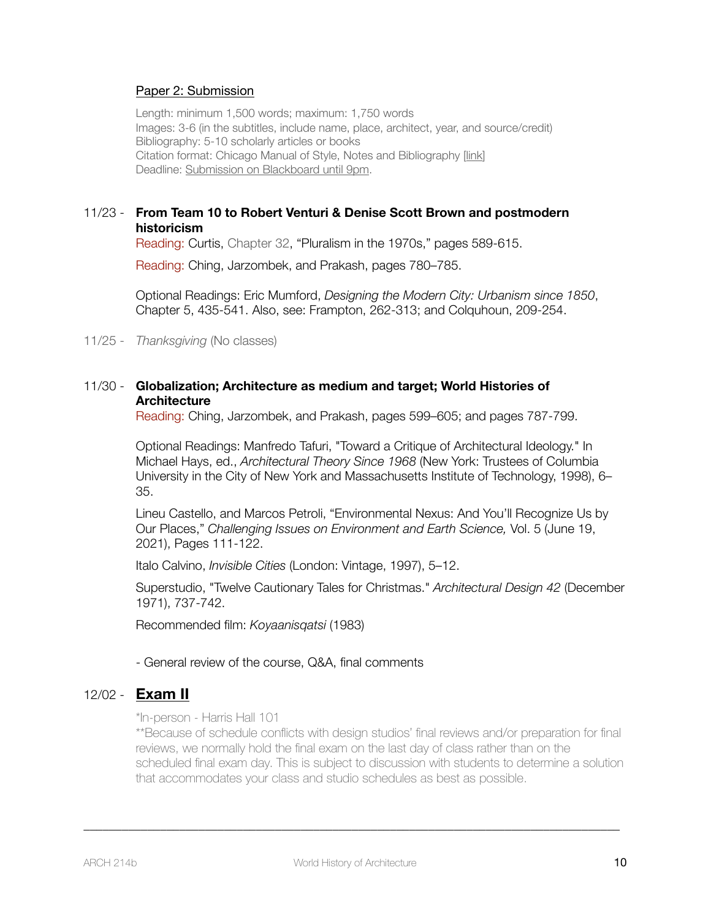### Paper 2: Submission

Length: minimum 1,500 words; maximum: 1,750 words Images: 3-6 (in the subtitles, include name, place, architect, year, and source/credit) Bibliography: 5-10 scholarly articles or books Citation format: Chicago Manual of Style, Notes and Bibliography [[link\]](https://www.chicagomanualofstyle.org/tools_citationguide/citation-guide-1.html) Deadline: Submission on Blackboard until 9pm.

## 11/23 - **From Team 10 to Robert Venturi & Denise Scott Brown and postmodern historicism**

Reading: Curtis, Chapter 32, "Pluralism in the 1970s," pages 589-615.

Reading: Ching, Jarzombek, and Prakash, pages 780–785.

Optional Readings: Eric Mumford, *Designing the Modern City: Urbanism since 1850*, Chapter 5, 435-541. Also, see: Frampton, 262-313; and Colquhoun, 209-254.

11/25 - *Thanksgiving* (No classes)

### 11/30 - **Globalization; Architecture as medium and target; World Histories of Architecture**

Reading: Ching, Jarzombek, and Prakash, pages 599–605; and pages 787-799.

Optional Readings: Manfredo Tafuri, "Toward a Critique of Architectural Ideology." In Michael Hays, ed., *Architectural Theory Since 1968* (New York: Trustees of Columbia University in the City of New York and Massachusetts Institute of Technology, 1998), 6– 35.

Lineu Castello, and Marcos Petroli, "Environmental Nexus: And You'll Recognize Us by Our Places," *Challenging Issues on Environment and Earth Science,* Vol. 5 (June 19, 2021), Pages 111-122.

Italo Calvino, *Invisible Cities* (London: Vintage, 1997), 5–12.

Superstudio, "Twelve Cautionary Tales for Christmas." *Architectural Design 42* (December 1971), 737-742.

Recommended film: *Koyaanisqatsi* (1983)

- General review of the course, Q&A, final comments

# 12/02 - **Exam II**

\*In-person - Harris Hall 101

\*\*Because of schedule conflicts with design studios' final reviews and/or preparation for final reviews, we normally hold the final exam on the last day of class rather than on the scheduled final exam day. This is subject to discussion with students to determine a solution that accommodates your class and studio schedules as best as possible.

\_\_\_\_\_\_\_\_\_\_\_\_\_\_\_\_\_\_\_\_\_\_\_\_\_\_\_\_\_\_\_\_\_\_\_\_\_\_\_\_\_\_\_\_\_\_\_\_\_\_\_\_\_\_\_\_\_\_\_\_\_\_\_\_\_\_\_\_\_\_\_\_\_\_\_\_\_\_\_\_\_\_\_\_